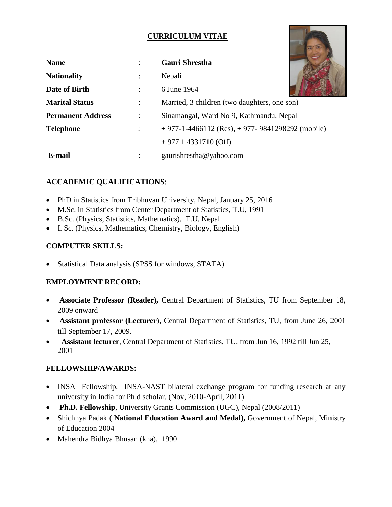# **CURRICULUM VITAE**

| <b>Name</b>              |                      | <b>Gauri Shrestha</b>                              |
|--------------------------|----------------------|----------------------------------------------------|
| <b>Nationality</b>       | $\ddot{\phantom{a}}$ | Nepali                                             |
| Date of Birth            |                      | 6 June 1964                                        |
| <b>Marital Status</b>    | $\ddot{\cdot}$       | Married, 3 children (two daughters, one son)       |
| <b>Permanent Address</b> | $\ddot{\cdot}$       | Sinamangal, Ward No 9, Kathmandu, Nepal            |
| <b>Telephone</b>         |                      | $+977-1-4466112$ (Res), $+977-9841298292$ (mobile) |
|                          |                      | $+977$ 1 4331710 (Off)                             |
| E-mail                   |                      | gaurishrestha@yahoo.com                            |

# **ACCADEMIC QUALIFICATIONS**:

- PhD in Statistics from Tribhuvan University, Nepal, January 25, 2016
- M.Sc. in Statistics from Center Department of Statistics, T.U, 1991
- B.Sc. (Physics, Statistics, Mathematics), T.U, Nepal
- I. Sc. (Physics, Mathematics, Chemistry, Biology, English)

## **COMPUTER SKILLS:**

• Statistical Data analysis (SPSS for windows, STATA)

## **EMPLOYMENT RECORD:**

- **Associate Professor (Reader),** Central Department of Statistics, TU from September 18, 2009 onward
- **Assistant professor (Lecturer**), Central Department of Statistics, TU, from June 26, 2001 till September 17, 2009.
- **Assistant lecturer**, Central Department of Statistics, TU, from Jun 16, 1992 till Jun 25, 2001

## **FELLOWSHIP/AWARDS:**

- INSA Fellowship, INSA-NAST bilateral exchange program for funding research at any university in India for Ph.d scholar. (Nov, 2010-April, 2011)
- **Ph.D. Fellowship**, University Grants Commission (UGC), Nepal (2008/2011)
- Shichhya Padak ( **National Education Award and Medal),** Government of Nepal, Ministry of Education 2004
- Mahendra Bidhya Bhusan (kha), 1990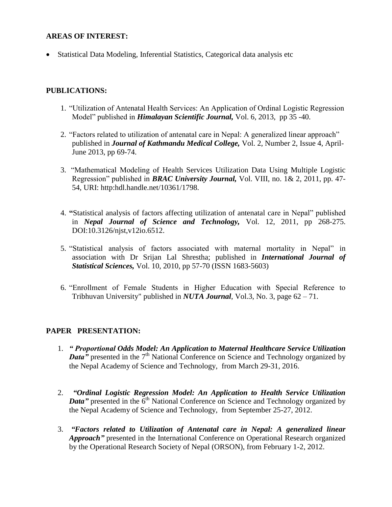### **AREAS OF INTEREST:**

Statistical Data Modeling, Inferential Statistics, Categorical data analysis etc

### **PUBLICATIONS:**

- 1. "Utilization of Antenatal Health Services: An Application of Ordinal Logistic Regression Model" published in *Himalayan Scientific Journal,* Vol. 6, 2013, pp 35 -40.
- 2. "Factors related to utilization of antenatal care in Nepal: A generalized linear approach" published in *Journal of Kathmandu Medical College,* Vol. 2, Number 2, Issue 4, April-June 2013, pp 69-74.
- 3. "Mathematical Modeling of Health Services Utilization Data Using Multiple Logistic Regression" published in *BRAC University Journal,* Vol. VIII, no. 1& 2, 2011, pp. 47- 54, URI: http:hdl.handle.net/10361/1798.
- 4. **"**Statistical analysis of factors affecting utilization of antenatal care in Nepal" published in *Nepal Journal of Science and Technology,* Vol. 12, 2011, pp 268-275. DOI:10.3126/njst,v12io.6512.
- 5. "Statistical analysis of factors associated with maternal mortality in Nepal" in association with Dr Srijan Lal Shrestha; published in *International Journal of Statistical Sciences,* Vol. 10, 2010, pp 57-70 (ISSN 1683-5603)
- 6. "Enrollment of Female Students in Higher Education with Special Reference to Tribhuvan University" published in *NUTA Journal*, Vol.3, No. 3, page 62 – 71.

#### **PAPER PRESENTATION:**

- 1. *" Proportional Odds Model: An Application to Maternal Healthcare Service Utilization*  **Data**<sup>*n*</sup> presented in the 7<sup>th</sup> National Conference on Science and Technology organized by the Nepal Academy of Science and Technology, from March 29-31, 2016.
- 2. *"Ordinal Logistic Regression Model: An Application to Health Service Utilization Data*" presented in the 6<sup>th</sup> National Conference on Science and Technology organized by the Nepal Academy of Science and Technology, from September 25-27, 2012.
- 3. *"Factors related to Utilization of Antenatal care in Nepal: A generalized linear Approach*" presented in the International Conference on Operational Research organized by the Operational Research Society of Nepal (ORSON), from February 1-2, 2012.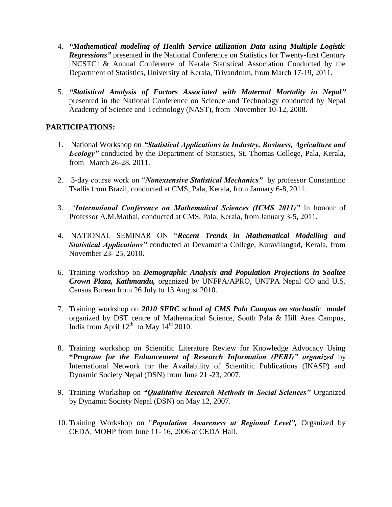- 4. *"Mathematical modeling of Health Service utilization Data using Multiple Logistic Regressions"* presented in the National Conference on Statistics for Twenty-first Century [NCSTC] & Annual Conference of Kerala Statistical Association Conducted by the Department of Statistics, University of Kerala, Trivandrum, from March 17-19, 2011.
- 5. *"Statistical Analysis of Factors Associated with Maternal Mortality in Nepal"* presented in the National Conference on Science and Technology conducted by Nepal Academy of Science and Technology (NAST), from November 10-12, 2008.

## **PARTICIPATIONS:**

- 1. National Workshop on *"Statistical Applications in Industry, Business, Agriculture and Ecology*" conducted by the Department of Statistics, St. Thomas College, Pala, Kerala, from March 26-28, 2011.
- 2. 3-day course work on "*Nonextensive Statistical Mechanics"* by professor Constantino Tsallis from Brazil, conducted at CMS, Pala, Kerala, from January 6-8, 2011.
- 3. *"International Conference on Mathematical Sciences (ICMS 2011)"* in honour of Professor A.M.Mathai, conducted at CMS, Pala, Kerala, from January 3-5, 2011.
- 4. NATIONAL SEMINAR ON "*Recent Trends in Mathematical Modelling and Statistical Applications"* conducted at Devamatha College, Kuravilangad, Kerala, from November 23- 25, 2010**.**
- 6. Training workshop on *Demographic Analysis and Population Projections in Soaltee Crown Plaza, Kathmandu,* organized by UNFPA/APRO, UNFPA Nepal CO and U.S. Census Bureau from 26 July to 13 August 2010.
- 7. Training workshop on *2010 SERC school of CMS Pala Campus on stochastic model* organized by DST centre of Mathematical Science, South Pala & Hill Area Campus, India from April  $12^{th}$  to May  $14^{th}$  2010.
- 8. Training workshop on Scientific Literature Review for Knowledge Advocacy Using **"***Program for the Enhancement of Research Information (PERI)" organized* by International Network for the Availability of Scientific Publications (INASP) and Dynamic Society Nepal (DSN) from June 21 -23, 2007.
- 9. Training Workshop on *"Qualitative Research Methods in Social Sciences"* Organized by Dynamic Society Nepal (DSN) on May 12, 2007.
- 10. Training Workshop on "*Population Awareness at Regional Level",* Organized by CEDA, MOHP from June 11- 16, 2006 at CEDA Hall.